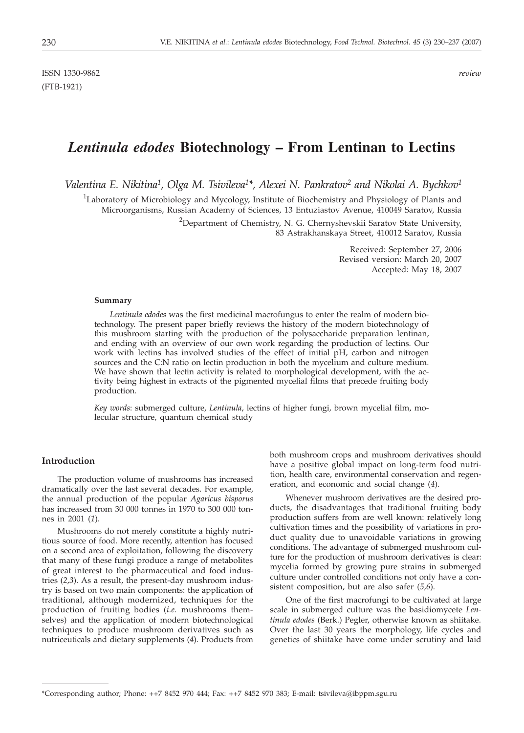# *Lentinula edodes* **Biotechnology – From Lentinan to Lectins**

Valentina E. Nikitina<sup>1</sup>, Olga M. Tsivileva<sup>1\*</sup>, Alexei N. Pankratov<sup>2</sup> and Nikolai A. Bychkov<sup>1</sup>

<sup>1</sup>Laboratory of Microbiology and Mycology, Institute of Biochemistry and Physiology of Plants and Microorganisms, Russian Academy of Sciences, 13 Entuziastov Avenue, 410049 Saratov, Russia

> <sup>2</sup>Department of Chemistry, N. G. Chernyshevskii Saratov State University, 83 Astrakhanskaya Street, 410012 Saratov, Russia

> > Received: September 27, 2006 Revised version: March 20, 2007 Accepted: May 18, 2007

#### **Summary**

*Lentinula edodes* was the first medicinal macrofungus to enter the realm of modern biotechnology. The present paper briefly reviews the history of the modern biotechnology of this mushroom starting with the production of the polysaccharide preparation lentinan, and ending with an overview of our own work regarding the production of lectins. Our work with lectins has involved studies of the effect of initial pH, carbon and nitrogen sources and the C:N ratio on lectin production in both the mycelium and culture medium. We have shown that lectin activity is related to morphological development, with the activity being highest in extracts of the pigmented mycelial films that precede fruiting body production.

*Key words*: submerged culture, *Lentinula*, lectins of higher fungi, brown mycelial film, molecular structure, quantum chemical study

## **Introduction**

The production volume of mushrooms has increased dramatically over the last several decades. For example, the annual production of the popular *Agaricus bisporus* has increased from 30 000 tonnes in 1970 to 300 000 tonnes in 2001 (*1*).

Mushrooms do not merely constitute a highly nutritious source of food. More recently, attention has focused on a second area of exploitation, following the discovery that many of these fungi produce a range of metabolites of great interest to the pharmaceutical and food industries (*2,3*). As a result, the present-day mushroom industry is based on two main components: the application of traditional, although modernized, techniques for the production of fruiting bodies (*i.e.* mushrooms themselves) and the application of modern biotechnological techniques to produce mushroom derivatives such as nutriceuticals and dietary supplements (*4*). Products from both mushroom crops and mushroom derivatives should have a positive global impact on long-term food nutrition, health care, environmental conservation and regeneration, and economic and social change (*4*).

Whenever mushroom derivatives are the desired products, the disadvantages that traditional fruiting body production suffers from are well known: relatively long cultivation times and the possibility of variations in product quality due to unavoidable variations in growing conditions. The advantage of submerged mushroom culture for the production of mushroom derivatives is clear: mycelia formed by growing pure strains in submerged culture under controlled conditions not only have a consistent composition, but are also safer (*5,6*).

One of the first macrofungi to be cultivated at large scale in submerged culture was the basidiomycete *Lentinula edodes* (Berk.) Pegler, otherwise known as shiitake. Over the last 30 years the morphology, life cycles and genetics of shiitake have come under scrutiny and laid

<sup>\*</sup>Corresponding author; Phone: ++7 8452 970 444; Fax: ++7 8452 970 383; E-mail: tsivileva@ibppm.sgu.ru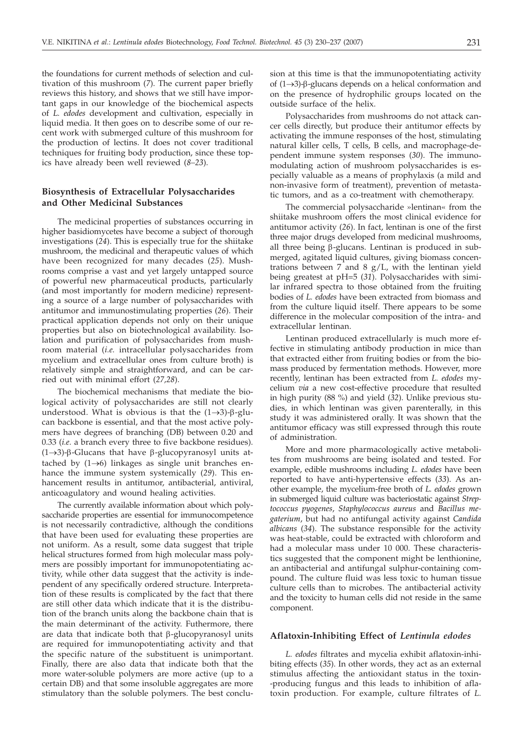the foundations for current methods of selection and cultivation of this mushroom (*7*). The current paper briefly reviews this history, and shows that we still have important gaps in our knowledge of the biochemical aspects of *L. edodes* development and cultivation, especially in liquid media. It then goes on to describe some of our recent work with submerged culture of this mushroom for the production of lectins. It does not cover traditional techniques for fruiting body production, since these topics have already been well reviewed (*8–23*).

# **Biosynthesis of Extracellular Polysaccharides and Other Medicinal Substances**

The medicinal properties of substances occurring in higher basidiomycetes have become a subject of thorough investigations (*24*). This is especially true for the shiitake mushroom, the medicinal and therapeutic values of which have been recognized for many decades (*25*). Mushrooms comprise a vast and yet largely untapped source of powerful new pharmaceutical products, particularly (and most importantly for modern medicine) representing a source of a large number of polysaccharides with antitumor and immunostimulating properties (*26*). Their practical application depends not only on their unique properties but also on biotechnological availability. Isolation and purification of polysaccharides from mushroom material (*i.e.* intracellular polysaccharides from mycelium and extracellular ones from culture broth) is relatively simple and straightforward, and can be carried out with minimal effort (*27,28*).

The biochemical mechanisms that mediate the biological activity of polysaccharides are still not clearly understood. What is obvious is that the  $(1\rightarrow3)$ - $\beta$ -glucan backbone is essential, and that the most active polymers have degrees of branching (DB) between 0.20 and 0.33 (*i.e.* a branch every three to five backbone residues).  $(1\rightarrow3)$ - $\beta$ -Glucans that have  $\beta$ -glucopyranosyl units attached by  $(1 \rightarrow 6)$  linkages as single unit branches enhance the immune system systemically (*29*). This enhancement results in antitumor, antibacterial, antiviral, anticoagulatory and wound healing activities.

The currently available information about which polysaccharide properties are essential for immunocompetence is not necessarily contradictive, although the conditions that have been used for evaluating these properties are not uniform. As a result, some data suggest that triple helical structures formed from high molecular mass polymers are possibly important for immunopotentiating activity, while other data suggest that the activity is independent of any specifically ordered structure. Interpretation of these results is complicated by the fact that there are still other data which indicate that it is the distribution of the branch units along the backbone chain that is the main determinant of the activity. Futhermore, there are data that indicate both that  $\beta$ -glucopyranosyl units are required for immunopotentiating activity and that the specific nature of the substituent is unimportant. Finally, there are also data that indicate both that the more water-soluble polymers are more active (up to a certain DB) and that some insoluble aggregates are more stimulatory than the soluble polymers. The best conclusion at this time is that the immunopotentiating activity of  $(1\rightarrow3)$ - $\beta$ -glucans depends on a helical conformation and on the presence of hydrophilic groups located on the outside surface of the helix.

Polysaccharides from mushrooms do not attack cancer cells directly, but produce their antitumor effects by activating the immune responses of the host, stimulating natural killer cells, T cells, B cells, and macrophage-dependent immune system responses (*30*). The immunomodulating action of mushroom polysaccharides is especially valuable as a means of prophylaxis (a mild and non-invasive form of treatment), prevention of metastatic tumors, and as a co-treatment with chemotherapy.

The commercial polysaccharide »lentinan« from the shiitake mushroom offers the most clinical evidence for antitumor activity (*26*). In fact, lentinan is one of the first three major drugs developed from medicinal mushrooms, all three being  $\beta$ -glucans. Lentinan is produced in submerged, agitated liquid cultures, giving biomass concentrations between 7 and 8  $g/L$ , with the lentinan yield being greatest at pH=5 (*31*). Polysaccharides with similar infrared spectra to those obtained from the fruiting bodies of *L. edodes* have been extracted from biomass and from the culture liquid itself. There appears to be some difference in the molecular composition of the intra- and extracellular lentinan.

Lentinan produced extracellularly is much more effective in stimulating antibody production in mice than that extracted either from fruiting bodies or from the biomass produced by fermentation methods. However, more recently, lentinan has been extracted from *L. edodes* mycelium *via* a new cost-effective procedure that resulted in high purity (88 %) and yield (*32*). Unlike previous studies, in which lentinan was given parenterally, in this study it was administered orally. It was shown that the antitumor efficacy was still expressed through this route of administration.

More and more pharmacologically active metabolites from mushrooms are being isolated and tested. For example, edible mushrooms including *L. edodes* have been reported to have anti-hypertensive effects (*33*). As another example, the mycelium-free broth of *L. edodes* grown in submerged liquid culture was bacteriostatic against *Streptococcus pyogenes*, *Staphylococcus aureus* and *Bacillus megaterium*, but had no antifungal activity against *Candida albicans* (*34*). The substance responsible for the activity was heat-stable, could be extracted with chloroform and had a molecular mass under 10 000. These characteristics suggested that the component might be lenthionine, an antibacterial and antifungal sulphur-containing compound. The culture fluid was less toxic to human tissue culture cells than to microbes. The antibacterial activity and the toxicity to human cells did not reside in the same component.

## **Aflatoxin-Inhibiting Effect of** *Lentinula edodes*

*L. edodes* filtrates and mycelia exhibit aflatoxin-inhibiting effects (*35*). In other words, they act as an external stimulus affecting the antioxidant status in the toxin- -producing fungus and this leads to inhibition of aflatoxin production. For example, culture filtrates of *L.*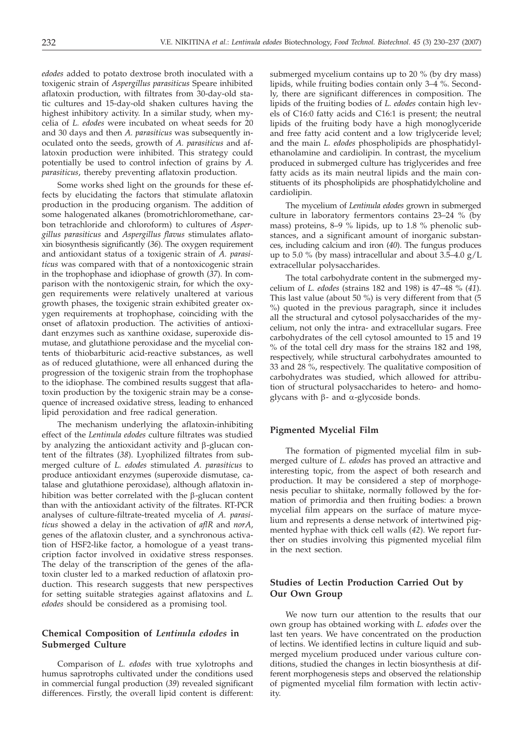*edodes* added to potato dextrose broth inoculated with a toxigenic strain of *Aspergillus parasiticus* Speare inhibited aflatoxin production, with filtrates from 30-day-old static cultures and 15-day-old shaken cultures having the highest inhibitory activity. In a similar study, when mycelia of *L. edodes* were incubated on wheat seeds for 20 and 30 days and then *A. parasiticus* was subsequently inoculated onto the seeds, growth of *A. parasiticus* and aflatoxin production were inhibited. This strategy could potentially be used to control infection of grains by *A. parasiticus*, thereby preventing aflatoxin production.

Some works shed light on the grounds for these effects by elucidating the factors that stimulate aflatoxin production in the producing organism. The addition of some halogenated alkanes (bromotrichloromethane, carbon tetrachloride and chloroform) to cultures of *Aspergillus parasiticus* and *Aspergillus flavus* stimulates aflatoxin biosynthesis significantly (*36*). The oxygen requirement and antioxidant status of a toxigenic strain of *A. parasiticus* was compared with that of a nontoxicogenic strain in the trophophase and idiophase of growth (*37*). In comparison with the nontoxigenic strain, for which the oxygen requirements were relatively unaltered at various growth phases, the toxigenic strain exhibited greater oxygen requirements at trophophase, coinciding with the onset of aflatoxin production. The activities of antioxidant enzymes such as xanthine oxidase, superoxide dismutase, and glutathione peroxidase and the mycelial contents of thiobarbituric acid-reactive substances, as well as of reduced glutathione, were all enhanced during the progression of the toxigenic strain from the trophophase to the idiophase. The combined results suggest that aflatoxin production by the toxigenic strain may be a consequence of increased oxidative stress, leading to enhanced lipid peroxidation and free radical generation.

The mechanism underlying the aflatoxin-inhibiting effect of the *Lentinula edodes* culture filtrates was studied by analyzing the antioxidant activity and  $\beta$ -glucan content of the filtrates (*38*). Lyophilized filtrates from submerged culture of *L. edodes* stimulated *A. parasiticus* to produce antioxidant enzymes (superoxide dismutase, catalase and glutathione peroxidase), although aflatoxin inhibition was better correlated with the  $\beta$ -glucan content than with the antioxidant activity of the filtrates. RT-PCR analyses of culture-filtrate-treated mycelia of *A. parasiticus* showed a delay in the activation of *aflR* and *norA*, genes of the aflatoxin cluster, and a synchronous activation of HSF2-like factor, a homologue of a yeast transcription factor involved in oxidative stress responses. The delay of the transcription of the genes of the aflatoxin cluster led to a marked reduction of aflatoxin production. This research suggests that new perspectives for setting suitable strategies against aflatoxins and *L. edodes* should be considered as a promising tool.

# **Chemical Composition of** *Lentinula edodes* **in Submerged Culture**

Comparison of *L. edodes* with true xylotrophs and humus saprotrophs cultivated under the conditions used in commercial fungal production (*39*) revealed significant differences. Firstly, the overall lipid content is different:

submerged mycelium contains up to 20 % (by dry mass) lipids, while fruiting bodies contain only 3–4 %. Secondly, there are significant differences in composition. The lipids of the fruiting bodies of *L. edodes* contain high levels of C16:0 fatty acids and C16:1 is present; the neutral lipids of the fruiting body have a high monoglyceride and free fatty acid content and a low triglyceride level; and the main *L. edodes* phospholipids are phosphatidylethanolamine and cardiolipin. In contrast, the mycelium produced in submerged culture has triglycerides and free fatty acids as its main neutral lipids and the main constituents of its phospholipids are phosphatidylcholine and cardiolipin.

The mycelium of *Lentinula edodes* grown in submerged culture in laboratory fermentors contains 23–24 % (by mass) proteins, 8–9 % lipids, up to 1.8 % phenolic substances, and a significant amount of inorganic substances, including calcium and iron (*40*). The fungus produces up to 5.0 % (by mass) intracellular and about  $3.5-4.0$  g/L extracellular polysaccharides.

The total carbohydrate content in the submerged mycelium of *L. edodes* (strains 182 and 198) is 47–48 % (*41*). This last value (about 50 %) is very different from that (5 %) quoted in the previous paragraph, since it includes all the structural and cytosol polysaccharides of the mycelium, not only the intra- and extracellular sugars. Free carbohydrates of the cell cytosol amounted to 15 and 19 % of the total cell dry mass for the strains 182 and 198, respectively, while structural carbohydrates amounted to 33 and 28 %, respectively. The qualitative composition of carbohydrates was studied, which allowed for attribution of structural polysaccharides to hetero- and homoglycans with  $\beta$ - and  $\alpha$ -glycoside bonds.

# **Pigmented Mycelial Film**

The formation of pigmented mycelial film in submerged culture of *L. edodes* has proved an attractive and interesting topic, from the aspect of both research and production. It may be considered a step of morphogenesis peculiar to shiitake, normally followed by the formation of primordia and then fruiting bodies: a brown mycelial film appears on the surface of mature mycelium and represents a dense network of intertwined pigmented hyphae with thick cell walls (*42*). We report further on studies involving this pigmented mycelial film in the next section.

# **Studies of Lectin Production Carried Out by Our Own Group**

We now turn our attention to the results that our own group has obtained working with *L. edodes* over the last ten years. We have concentrated on the production of lectins. We identified lectins in culture liquid and submerged mycelium produced under various culture conditions, studied the changes in lectin biosynthesis at different morphogenesis steps and observed the relationship of pigmented mycelial film formation with lectin activity.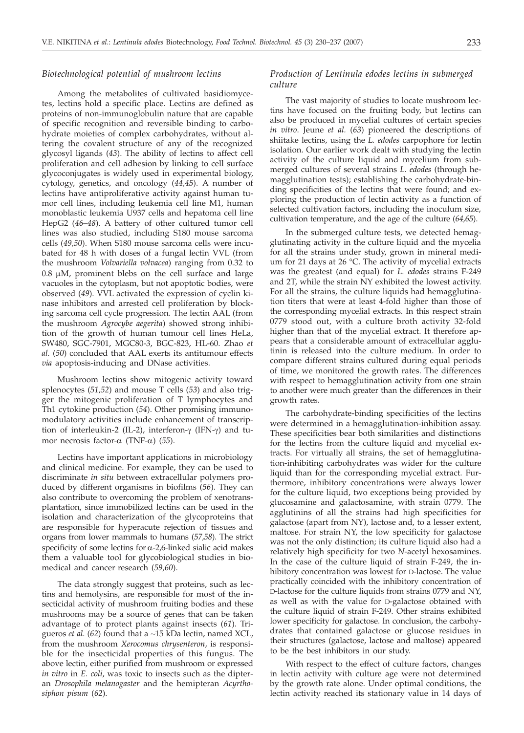## *Biotechnological potential of mushroom lectins*

Among the metabolites of cultivated basidiomycetes, lectins hold a specific place. Lectins are defined as proteins of non-immunoglobulin nature that are capable of specific recognition and reversible binding to carbohydrate moieties of complex carbohydrates, without altering the covalent structure of any of the recognized glycosyl ligands (*43*). The ability of lectins to affect cell proliferation and cell adhesion by linking to cell surface glycoconjugates is widely used in experimental biology, cytology, genetics, and oncology (*44,45*). A number of lectins have antiproliferative activity against human tumor cell lines, including leukemia cell line M1, human monoblastic leukemia U937 cells and hepatoma cell line HepG2 (*46–48*). A battery of other cultured tumor cell lines was also studied, including S180 mouse sarcoma cells (*49,50*). When S180 mouse sarcoma cells were incubated for 48 h with doses of a fungal lectin VVL (from the mushroom *Volvariella volvacea*) ranging from 0.32 to  $0.8 \mu M$ , prominent blebs on the cell surface and large vacuoles in the cytoplasm, but not apoptotic bodies, were observed (*49*). VVL activated the expression of cyclin kinase inhibitors and arrested cell proliferation by blocking sarcoma cell cycle progression. The lectin AAL (from the mushroom *Agrocybe aegerita*) showed strong inhibition of the growth of human tumour cell lines HeLa, SW480, SGC-7901, MGC80-3, BGC-823, HL-60. Zhao *et al.* (*50*) concluded that AAL exerts its antitumour effects *via* apoptosis-inducing and DNase activities.

Mushroom lectins show mitogenic activity toward splenocytes (*51,52*) and mouse T cells (*53*) and also trigger the mitogenic proliferation of T lymphocytes and Th1 cytokine production (*54*). Other promising immunomodulatory activities include enhancement of transcription of interleukin-2 (IL-2), interferon- $\gamma$  (IFN- $\gamma$ ) and tumor necrosis factor-a (TNF-a) (*55*).

Lectins have important applications in microbiology and clinical medicine. For example, they can be used to discriminate *in situ* between extracellular polymers produced by different organisms in biofilms (*56*). They can also contribute to overcoming the problem of xenotransplantation, since immobilized lectins can be used in the isolation and characterization of the glycoproteins that are responsible for hyperacute rejection of tissues and organs from lower mammals to humans (*57,58*). The strict specificity of some lectins for  $\alpha$ -2,6-linked sialic acid makes them a valuable tool for glycobiological studies in biomedical and cancer research (*59,60*).

The data strongly suggest that proteins, such as lectins and hemolysins, are responsible for most of the insecticidal activity of mushroom fruiting bodies and these mushrooms may be a source of genes that can be taken advantage of to protect plants against insects (*61*). Trigueros *et al.* (*62*) found that a ~15 kDa lectin, named XCL, from the mushroom *Xerocomus chrysenteron*, is responsible for the insecticidal properties of this fungus. The above lectin, either purified from mushroom or expressed *in vitro* in *E. coli*, was toxic to insects such as the dipteran *Drosophila melanogaster* and the hemipteran *Acyrthosiphon pisum* (*62*).

# *Production of Lentinula edodes lectins in submerged culture*

The vast majority of studies to locate mushroom lectins have focused on the fruiting body, but lectins can also be produced in mycelial cultures of certain species *in vitro*. Jeune *et al.* (*63*) pioneered the descriptions of shiitake lectins, using the *L. edodes* carpophore for lectin isolation. Our earlier work dealt with studying the lectin activity of the culture liquid and mycelium from submerged cultures of several strains *L. edodes* (through hemagglutination tests); establishing the carbohydrate-binding specificities of the lectins that were found; and exploring the production of lectin activity as a function of selected cultivation factors, including the inoculum size, cultivation temperature, and the age of the culture (*64,65*).

In the submerged culture tests, we detected hemagglutinating activity in the culture liquid and the mycelia for all the strains under study, grown in mineral medium for 21 days at 26 °C. The activity of mycelial extracts was the greatest (and equal) for *L. edodes* strains F-249 and 2T, while the strain NY exhibited the lowest activity. For all the strains, the culture liquids had hemagglutination titers that were at least 4-fold higher than those of the corresponding mycelial extracts. In this respect strain 0779 stood out, with a culture broth activity 32-fold higher than that of the mycelial extract. It therefore appears that a considerable amount of extracellular agglutinin is released into the culture medium. In order to compare different strains cultured during equal periods of time, we monitored the growth rates. The differences with respect to hemagglutination activity from one strain to another were much greater than the differences in their growth rates.

The carbohydrate-binding specificities of the lectins were determined in a hemagglutination-inhibition assay. These specificities bear both similarities and distinctions for the lectins from the culture liquid and mycelial extracts. For virtually all strains, the set of hemagglutination-inhibiting carbohydrates was wider for the culture liquid than for the corresponding mycelial extract. Furthermore, inhibitory concentrations were always lower for the culture liquid, two exceptions being provided by glucosamine and galactosamine, with strain 0779. The agglutinins of all the strains had high specificities for galactose (apart from NY), lactose and, to a lesser extent, maltose. For strain NY, the low specificity for galactose was not the only distinction; its culture liquid also had a relatively high specificity for two *N*-acetyl hexosamines. In the case of the culture liquid of strain F-249, the inhibitory concentration was lowest for D-lactose. The value practically coincided with the inhibitory concentration of D-lactose for the culture liquids from strains 0779 and NY, as well as with the value for D-galactose obtained with the culture liquid of strain F-249. Other strains exhibited lower specificity for galactose. In conclusion, the carbohydrates that contained galactose or glucose residues in their structures (galactose, lactose and maltose) appeared to be the best inhibitors in our study.

With respect to the effect of culture factors, changes in lectin activity with culture age were not determined by the growth rate alone. Under optimal conditions, the lectin activity reached its stationary value in 14 days of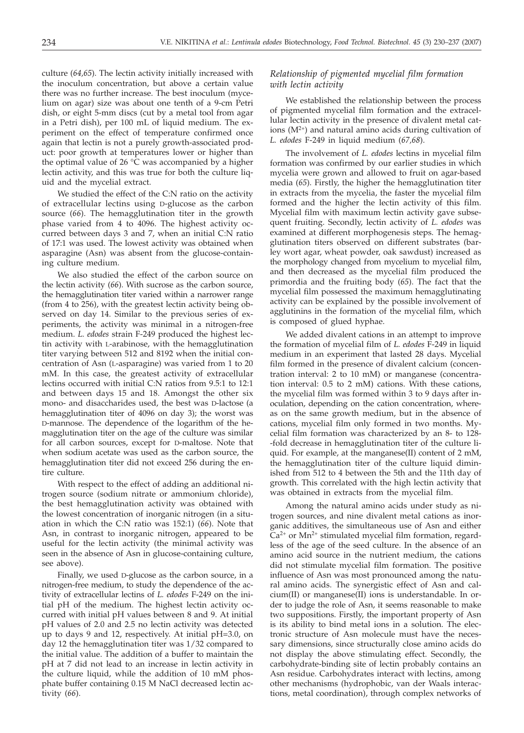culture (*64,65*). The lectin activity initially increased with the inoculum concentration, but above a certain value there was no further increase. The best inoculum (mycelium on agar) size was about one tenth of a 9-cm Petri dish, or eight 5-mm discs (cut by a metal tool from agar in a Petri dish), per 100 mL of liquid medium. The experiment on the effect of temperature confirmed once again that lectin is not a purely growth-associated product: poor growth at temperatures lower or higher than the optimal value of 26 °C was accompanied by a higher lectin activity, and this was true for both the culture liquid and the mycelial extract.

We studied the effect of the C:N ratio on the activity of extracellular lectins using D-glucose as the carbon source (*66*). The hemagglutination titer in the growth phase varied from 4 to 4096. The highest activity occurred between days 3 and 7, when an initial C:N ratio of 17:1 was used. The lowest activity was obtained when asparagine (Asn) was absent from the glucose-containing culture medium.

We also studied the effect of the carbon source on the lectin activity (*66*). With sucrose as the carbon source, the hemagglutination titer varied within a narrower range (from 4 to 256), with the greatest lectin activity being observed on day 14. Similar to the previous series of experiments, the activity was minimal in a nitrogen-free medium. *L. edodes* strain F-249 produced the highest lectin activity with L-arabinose, with the hemagglutination titer varying between 512 and 8192 when the initial concentration of Asn (L-asparagine) was varied from 1 to 20 mM. In this case, the greatest activity of extracellular lectins occurred with initial C:N ratios from 9.5:1 to 12:1 and between days 15 and 18. Amongst the other six mono- and disaccharides used, the best was D-lactose (a hemagglutination titer of 4096 on day 3); the worst was D-mannose. The dependence of the logarithm of the hemagglutination titer on the age of the culture was similar for all carbon sources, except for D-maltose. Note that when sodium acetate was used as the carbon source, the hemagglutination titer did not exceed 256 during the entire culture.

With respect to the effect of adding an additional nitrogen source (sodium nitrate or ammonium chloride), the best hemagglutination activity was obtained with the lowest concentration of inorganic nitrogen (in a situation in which the C:N ratio was 152:1) (*66*). Note that Asn, in contrast to inorganic nitrogen, appeared to be useful for the lectin activity (the minimal activity was seen in the absence of Asn in glucose-containing culture, see above).

Finally, we used D-glucose as the carbon source, in a nitrogen-free medium, to study the dependence of the activity of extracellular lectins of *L. edodes* F-249 on the initial pH of the medium. The highest lectin activity occurred with initial pH values between 8 and 9. At initial pH values of 2.0 and 2.5 no lectin activity was detected up to days 9 and 12, respectively. At initial pH=3.0, on day 12 the hemagglutination titer was 1/32 compared to the initial value. The addition of a buffer to maintain the pH at 7 did not lead to an increase in lectin activity in the culture liquid, while the addition of 10 mM phosphate buffer containing 0.15 M NaCl decreased lectin activity (*66*).

# *Relationship of pigmented mycelial film formation with lectin activity*

We established the relationship between the process of pigmented mycelial film formation and the extracellular lectin activity in the presence of divalent metal cations  $(M^{2+})$  and natural amino acids during cultivation of *L. edodes* F-249 in liquid medium (*67,68*).

The involvement of *L. edodes* lectins in mycelial film formation was confirmed by our earlier studies in which mycelia were grown and allowed to fruit on agar-based media (*65*). Firstly, the higher the hemagglutination titer in extracts from the mycelia, the faster the mycelial film formed and the higher the lectin activity of this film. Mycelial film with maximum lectin activity gave subsequent fruiting. Secondly, lectin activity of *L. edodes* was examined at different morphogenesis steps. The hemagglutination titers observed on different substrates (barley wort agar, wheat powder, oak sawdust) increased as the morphology changed from mycelium to mycelial film, and then decreased as the mycelial film produced the primordia and the fruiting body (*65*). The fact that the mycelial film possessed the maximum hemagglutinating activity can be explained by the possible involvement of agglutinins in the formation of the mycelial film, which is composed of glued hyphae.

We added divalent cations in an attempt to improve the formation of mycelial film of *L. edodes* F-249 in liquid medium in an experiment that lasted 28 days. Mycelial film formed in the presence of divalent calcium (concentration interval: 2 to 10 mM) or manganese (concentration interval: 0.5 to 2 mM) cations. With these cations, the mycelial film was formed within 3 to 9 days after inoculation, depending on the cation concentration, whereas on the same growth medium, but in the absence of cations, mycelial film only formed in two months. Mycelial film formation was characterized by an 8- to 128- -fold decrease in hemagglutination titer of the culture liquid. For example, at the manganese(II) content of 2 mM, the hemagglutination titer of the culture liquid diminished from 512 to 4 between the 5th and the 11th day of growth. This correlated with the high lectin activity that was obtained in extracts from the mycelial film.

Among the natural amino acids under study as nitrogen sources, and nine divalent metal cations as inorganic additives, the simultaneous use of Asn and either  $Ca<sup>2+</sup>$  or Mn<sup>2+</sup> stimulated mycelial film formation, regardless of the age of the seed culture. In the absence of an amino acid source in the nutrient medium, the cations did not stimulate mycelial film formation. The positive influence of Asn was most pronounced among the natural amino acids. The synergistic effect of Asn and calcium(II) or manganese(II) ions is understandable. In order to judge the role of Asn, it seems reasonable to make two suppositions. Firstly, the important property of Asn is its ability to bind metal ions in a solution. The electronic structure of Asn molecule must have the necessary dimensions, since structurally close amino acids do not display the above stimulating effect. Secondly, the carbohydrate-binding site of lectin probably contains an Asn residue. Carbohydrates interact with lectins, among other mechanisms (hydrophobic, van der Waals interactions, metal coordination), through complex networks of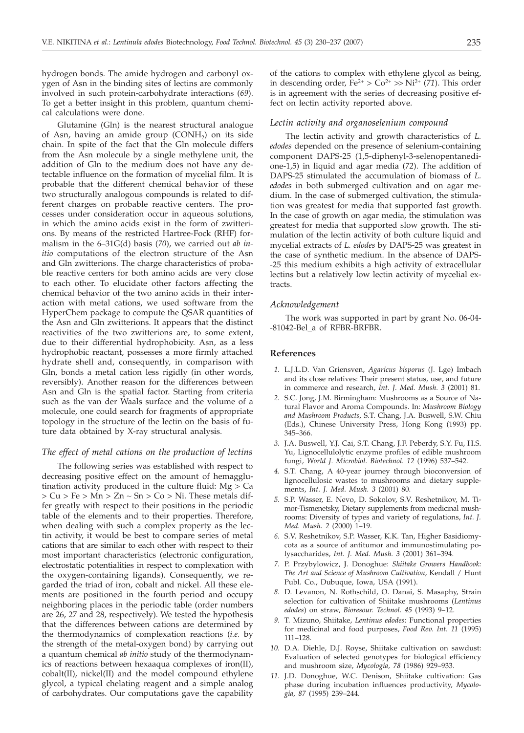hydrogen bonds. The amide hydrogen and carbonyl oxygen of Asn in the binding sites of lectins are commonly involved in such protein-carbohydrate interactions (*69*). To get a better insight in this problem, quantum chemical calculations were done.

Glutamine (Gln) is the nearest structural analogue of Asn, having an amide group  $(CONH<sub>2</sub>)$  on its side chain. In spite of the fact that the Gln molecule differs from the Asn molecule by a single methylene unit, the addition of Gln to the medium does not have any detectable influence on the formation of mycelial film. It is probable that the different chemical behavior of these two structurally analogous compounds is related to different charges on probable reactive centers. The processes under consideration occur in aqueous solutions, in which the amino acids exist in the form of zwitterions. By means of the restricted Hartree-Fock (RHF) formalism in the 6–31G(d) basis (*70*), we carried out *ab initio* computations of the electron structure of the Asn and Gln zwitterions. The charge characteristics of probable reactive centers for both amino acids are very close to each other. To elucidate other factors affecting the chemical behavior of the two amino acids in their interaction with metal cations, we used software from the HyperChem package to compute the QSAR quantities of the Asn and Gln zwitterions. It appears that the distinct reactivities of the two zwitterions are, to some extent, due to their differential hydrophobicity. Asn, as a less hydrophobic reactant, possesses a more firmly attached hydrate shell and, consequently, in comparison with Gln, bonds a metal cation less rigidly (in other words, reversibly). Another reason for the differences between Asn and Gln is the spatial factor. Starting from criteria such as the van der Waals surface and the volume of a molecule, one could search for fragments of appropriate topology in the structure of the lectin on the basis of future data obtained by X-ray structural analysis.

## *The effect of metal cations on the production of lectins*

The following series was established with respect to decreasing positive effect on the amount of hemagglutination activity produced in the culture fluid:  $Mg > Ca$  $> Cu > Fe > Mn > Zn \sim Sn > Co > Ni$ . These metals differ greatly with respect to their positions in the periodic table of the elements and to their properties. Therefore, when dealing with such a complex property as the lectin activity, it would be best to compare series of metal cations that are similar to each other with respect to their most important characteristics (electronic configuration, electrostatic potentialities in respect to complexation with the oxygen-containing ligands). Consequently, we regarded the triad of iron, cobalt and nickel. All these elements are positioned in the fourth period and occupy neighboring places in the periodic table (order numbers are 26, 27 and 28, respectively). We tested the hypothesis that the differences between cations are determined by the thermodynamics of complexation reactions (*i.e.* by the strength of the metal-oxygen bond) by carrying out a quantum chemical *ab initio* study of the thermodynamics of reactions between hexaaqua complexes of iron(II), cobalt(II), nickel(II) and the model compound ethylene glycol, a typical chelating reagent and a simple analog of carbohydrates. Our computations gave the capability

of the cations to complex with ethylene glycol as being, in descending order,  $Fe^{2+} > Co^{2+} \gg Ni^{2+} (71)$ . This order is in agreement with the series of decreasing positive effect on lectin activity reported above.

#### *Lectin activity and organoselenium compound*

The lectin activity and growth characteristics of *L. edodes* depended on the presence of selenium-containing component DAPS-25 (1,5-diphenyl-3-selenopentanedione-1,5) in liquid and agar media (*72*). The addition of DAPS-25 stimulated the accumulation of biomass of *L. edodes* in both submerged cultivation and on agar medium. In the case of submerged cultivation, the stimulation was greatest for media that supported fast growth. In the case of growth on agar media, the stimulation was greatest for media that supported slow growth. The stimulation of the lectin activity of both culture liquid and mycelial extracts of *L. edodes* by DAPS-25 was greatest in the case of synthetic medium. In the absence of DAPS- -25 this medium exhibits a high activity of extracellular lectins but a relatively low lectin activity of mycelial extracts.

#### *Acknowledgement*

The work was supported in part by grant No. 06-04- -81042-Bel\_a of RFBR-BRFBR.

#### **References**

- *1.* L.J.L.D. Van Griensven, *Agaricus bisporus* (J. Lge) Imbach and its close relatives: Their present status, use, and future in commerce and research, *Int. J. Med. Mush. 3* (2001) 81.
- *2.* S.C. Jong, J.M. Birmingham: Mushrooms as a Source of Natural Flavor and Aroma Compounds. In: *Mushroom Biology and Mushroom Products*, S.T. Chang, J.A. Buswell, S.W. Chiu (Eds.), Chinese University Press, Hong Kong (1993) pp. 345–366.
- *3.* J.A. Buswell, Y.J. Cai, S.T. Chang, J.F. Peberdy, S.Y. Fu, H.S. Yu, Lignocellulolytic enzyme profiles of edible mushroom fungi, *World J. Microbiol. Biotechnol. 12* (1996) 537–542.
- *4.* S.T. Chang, A 40-year journey through bioconversion of lignocellulosic wastes to mushrooms and dietary supplements, *Int. J. Med. Mush. 3* (2001) 80.
- *5.* S.P. Wasser, E. Nevo, D. Sokolov, S.V. Reshetnikov, M. Timor-Tismenetsky, Dietary supplements from medicinal mushrooms: Diversity of types and variety of regulations, *Int. J. Med. Mush. 2* (2000) 1–19.
- *6.* S.V. Reshetnikov, S.P. Wasser, K.K. Tan, Higher Basidiomycota as a source of antitumor and immunostimulating polysaccharides, *Int. J. Med. Mush. 3* (2001) 361–394.
- *7.* P. Przybylowicz, J. Donoghue: *Shiitake Growers Handbook: The Art and Science of Mushroom Cultivation*, Kendall / Hunt Publ. Co., Dubuque, Iowa, USA (1991).
- *8.* D. Levanon, N. Rothschild, O. Danai, S. Masaphy, Strain selection for cultivation of Shiitake mushrooms (*Lentinus edodes*) on straw, *Bioresour. Technol. 45* (1993) 9–12.
- *9.* T. Mizuno, Shiitake, *Lentinus edodes*: Functional properties for medicinal and food purposes, *Food Rev. Int. 11* (1995) 111–128.
- *10.* D.A. Diehle, D.J. Royse, Shiitake cultivation on sawdust: Evaluation of selected genotypes for biological efficiency and mushroom size, *Mycologia, 78* (1986) 929–933.
- *11.* J.D. Donoghue, W.C. Denison, Shiitake cultivation: Gas phase during incubation influences productivity, *Mycologia, 87* (1995) 239–244.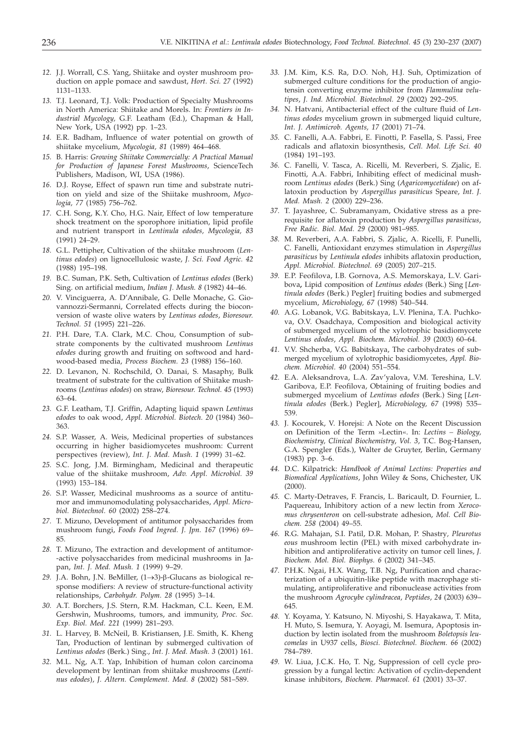- *12.* J.J. Worrall, C.S. Yang, Shiitake and oyster mushroom production on apple pomace and sawdust, *Hort. Sci. 27* (1992) 1131–1133.
- *13.* T.J. Leonard, T.J. Volk: Production of Specialty Mushrooms in North America: Shiitake and Morels. In: *Frontiers in Industrial Mycology,* G.F. Leatham (Ed.), Chapman & Hall, New York, USA (1992) pp. 1–23.
- *14.* E.R. Badham, Influence of water potential on growth of shiitake mycelium, *Mycologia, 81* (1989) 464–468.
- *15.* B. Harris: *Growing Shiitake Commercially: A Practical Manual for Production of Japanese Forest Mushrooms*, ScienceTech Publishers, Madison, WI, USA (1986).
- *16.* D.J. Royse, Effect of spawn run time and substrate nutrition on yield and size of the Shiitake mushroom, *Mycologia, 77* (1985) 756–762.
- *17.* C.H. Song, K.Y. Cho, H.G. Nair, Effect of low temperature shock treatment on the sporophore initiation, lipid profile and nutrient transport in *Lentinula edodes, Mycologia, 83* (1991) 24–29.
- *18.* G.L. Pettipher, Cultivation of the shiitake mushroom (*Lentinus edodes*) on lignocellulosic waste, *J. Sci. Food Agric. 42* (1988) 195–198.
- *19.* B.C. Suman, P.K. Seth, Cultivation of *Lentinus edodes* (Berk) Sing. on artificial medium, *Indian J. Mush. 8* (1982) 44–46.
- *20.* V. Vinciguerra, A. D'Annibale, G. Delle Monache, G. Giovannozzi-Sermanni, Correlated effects during the bioconversion of waste olive waters by *Lentinus edodes*, *Bioresour. Technol. 51* (1995) 221–226.
- *21.* P.H. Dare, T.A. Clark, M.C. Chou, Consumption of substrate components by the cultivated mushroom *Lentinus edodes* during growth and fruiting on softwood and hardwood-based media, *Process Biochem. 23* (1988) 156–160.
- *22.* D. Levanon, N. Rochschild, O. Danai, S. Masaphy, Bulk treatment of substrate for the cultivation of Shiitake mushrooms (*Lentinus edodes*) on straw, *Bioresour. Technol. 45* (1993) 63–64.
- *23.* G.F. Leatham, T.J. Griffin, Adapting liquid spawn *Lentinus edodes* to oak wood, *Appl. Microbiol. Biotech. 20* (1984) 360– 363.
- *24.* S.P. Wasser, A. Weis, Medicinal properties of substances occurring in higher basidiomycetes mushroom: Current perspectives (review), *Int. J. Med. Mush. 1* (1999) 31–62.
- *25.* S.C. Jong, J.M. Birmingham, Medicinal and therapeutic value of the shiitake mushroom, *Adv. Appl. Microbiol. 39* (1993) 153–184.
- *26.* S.P. Wasser, Medicinal mushrooms as a source of antitumor and immunomodulating polysaccharides, *Appl. Microbiol. Biotechnol. 60* (2002) 258–274.
- *27.* T. Mizuno, Development of antitumor polysaccharides from mushroom fungi, *Foods Food Ingred. J. Jpn. 167* (1996) 69– 85.
- *28.* T. Mizuno, The extraction and development of antitumor- -active polysaccharides from medicinal mushrooms in Japan, *Int. J. Med. Mush. 1* (1999) 9–29.
- 29. J.A. Bohn, J.N. BeMiller, (1→3)-β-Glucans as biological response modifiers: A review of structure-functional activity relationships, *Carbohydr. Polym. 28* (1995) 3–14.
- *30.* A.T. Borchers, J.S. Stern, R.M. Hackman, C.L. Keen, E.M. Gershwin, Mushrooms, tumors, and immunity, *Proc. Soc. Exp. Biol. Med. 221* (1999) 281–293.
- *31.* L. Harvey, B. McNeil, B. Kristiansen, J.E. Smith, K. Kheng Tan, Production of lentinan by submerged cultivation of *Lentinus edodes* (Berk.) Sing., *Int. J. Med. Mush. 3* (2001) 161.
- *32.* M.L. Ng, A.T. Yap, Inhibition of human colon carcinoma development by lentinan from shiitake mushrooms (*Lentinus edodes*), *J. Altern. Complement. Med. 8* (2002) 581–589.
- *33.* J.M. Kim, K.S. Ra, D.O. Noh, H.J. Suh, Optimization of submerged culture conditions for the production of angiotensin converting enzyme inhibitor from *Flammulina velutipes*, *J. Ind. Microbiol. Biotechnol. 29* (2002) 292–295.
- *34.* N. Hatvani, Antibacterial effect of the culture fluid of *Lentinus edodes* mycelium grown in submerged liquid culture, *Int. J. Antimicrob. Agents, 17* (2001) 71–74.
- *35.* C. Fanelli, A.A. Fabbri, E. Finotti, P. Fasella, S. Passi, Free radicals and aflatoxin biosynthesis, *Cell. Mol. Life Sci. 40* (1984) 191–193.
- *36.* C. Fanelli, V. Tasca, A. Ricelli, M. Reverberi, S. Zjalic, E. Finotti, A.A. Fabbri, Inhibiting effect of medicinal mushroom *Lentinus edodes* (Berk.) Sing (*Agaricomycetideae*) on aflatoxin production by *Aspergillus parasiticus* Speare, *Int. J. Med. Mush. 2* (2000) 229–236.
- *37.* T. Jayashree, C. Subramanyam, Oxidative stress as a prerequisite for aflatoxin production by *Aspergillus parasiticus*, *Free Radic. Biol. Med. 29* (2000) 981–985.
- *38.* M. Reverberi, A.A. Fabbri, S. Zjalic, A. Ricelli, F. Punelli, C. Fanelli, Antioxidant enzymes stimulation in *Aspergillus parasiticus* by *Lentinula edodes* inhibits aflatoxin production, *Appl. Microbiol. Biotechnol. 69* (2005) 207–215.
- *39.* E.P. Feofilova, I.B. Gornova, A.S. Memorskaya, L.V. Garibova**,** Lipid composition of *Lentinus edodes* (Berk.) Sing [*Lentinula edodes* (Berk.) Pegler] fruiting bodies and submerged mycelium, *Microbiology, 67* (1998) 540–544.
- *40.* A.G. Lobanok, V.G. Babitskaya, L.V. Plenina, T.A. Puchkova, O.V. Osadchaya, Composition and biological activity of submerged mycelium of the xylotrophic basidiomycete *Lentinus edodes*, *Appl. Biochem. Microbiol. 39* (2003) 60–64.
- *41.* V.V. Shcherba, V.G. Babitskaya, The carbohydrates of submerged mycelium of xylotrophic basidiomycetes, *Appl. Biochem. Microbiol. 40* (2004) 551–554.
- *42.* E.A. Aleksandrova, L.A. Zav'yalova, V.M. Tereshina, L.V. Garibova, E.P. Feofilova, Obtaining of fruiting bodies and submerged mycelium of *Lentinus edodes* (Berk.) Sing [*Lentinula edodes* (Berk.) Pegler], *Microbiology, 67* (1998) 535– 539.
- *43.* J. Kocourek, V. Horejsi: A Note on the Recent Discussion on Definition of the Term »Lectin«. In: *Lectins – Biology, Biochemistry, Clinical Biochemistry*, *Vol. 3*, T.C. Bog-Hansen, G.A. Spengler (Eds.), Walter de Gruyter, Berlin, Germany (1983) pp. 3–6.
- *44.* D.C. Kilpatrick: *Handbook of Animal Lectins: Properties and Biomedical Applications*, John Wiley & Sons, Chichester, UK (2000).
- *45.* C. Marty-Detraves, F. Francis, L. Baricault, D. Fournier, L. Paquereau, Inhibitory action of a new lectin from *Xerocomus chrysenteron* on cell-substrate adhesion, *Mol. Cell Biochem. 258* (2004) 49–55.
- *46.* R.G. Mahajan, S.I. Patil, D.R. Mohan, P. Shastry*, Pleurotus eous* mushroom lectin (PEL) with mixed carbohydrate inhibition and antiproliferative activity on tumor cell lines, *J. Biochem. Mol. Biol. Biophys. 6* (2002) 341–345.
- *47.* P.H.K. Ngai, H.X. Wang, T.B. Ng, Purification and characterization of a ubiquitin-like peptide with macrophage stimulating, antiproliferative and ribonuclease activities from the mushroom *Agrocybe cylindracea*, *Peptides*, *24* (2003) 639– 645.
- *48.* Y. Koyama, Y. Katsuno, N. Miyoshi, S. Hayakawa, T. Mita, H. Muto, S. Isemura, Y. Aoyagi, M. Isemura, Apoptosis induction by lectin isolated from the mushroom *Boletopsis leucomelas* in U937 cells, *Biosci. Biotechnol. Biochem. 66* (2002) 784–789.
- *49.* W. Liua, J.C.K. Ho, T. Ng, Suppression of cell cycle progression by a fungal lectin: Activation of cyclin-dependent kinase inhibitors, *Biochem. Pharmacol. 61* (2001) 33–37.